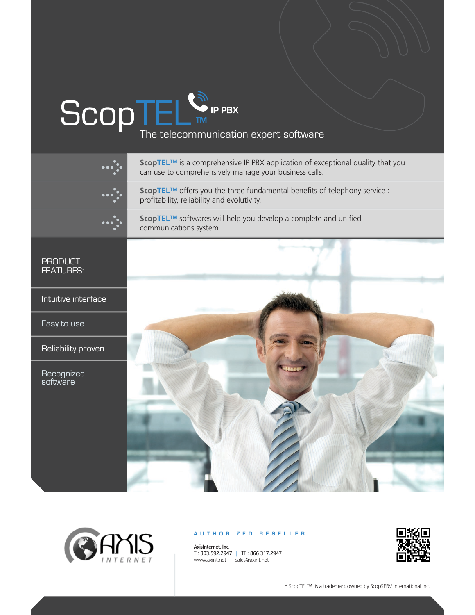# $SGOPTEL$ <sub>TM</sub> IP PBX<br>The telecommunication expert software

**ScopTEL™** is a comprehensive IP PBX application of exceptional quality that you can use to comprehensively manage your business calls.

**ScopTEL**™ offers you the three fundamental benefits of telephony service : profitability, reliability and evolutivity.

**ScopTEL**™ softwares will help you develop a complete and unified communications system.

PRODUCT FEATURES:

Intuitive interface

Easy to use

Reliability proven

**Recognized** software





### **AUTHORIZED RESELLER**

**AxisInternet, Inc.** T : 303.592.2947 | TF : 866 317.2947 www.axint.net | sales@axint.net